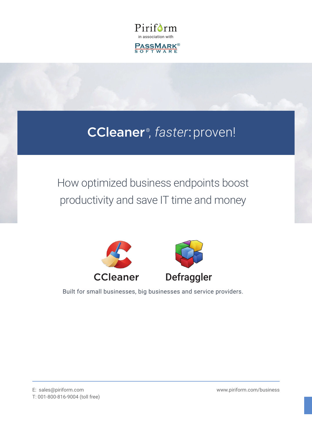

# CCleaner , *faster*:proven!

# How optimized business endpoints boost productivity and save IT time and money





Built for small businesses, big businesses and service providers.

[www.piriform.com/business](http://www.piriform.com/business)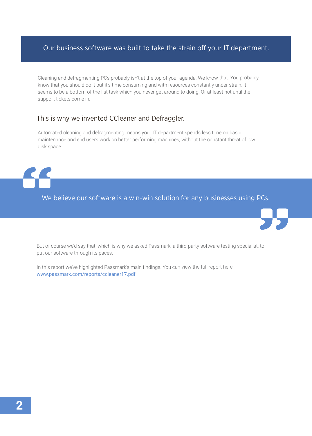## Our business software was built to take the strain off your IT department.

Cleaning and defragmenting PCs probably isn't at the top of your agenda. We know that. You probably know that you should do it but it's time consuming and with resources constantly under strain, it seems to be a bottom-of-the-list task which you never get around to doing. Or at least not until the support tickets come in.

### This is why we invented CCleaner and Defraggler.

Automated cleaning and defragmenting means your IT department spends less time on basic maintenance and end users work on better performing machines, without the constant threat of low disk space.

We believe our software is a win-win solution for any businesses using PCs.



In this report we've highlighted Passmark's main findings. You can view the full report here: [www.passmark.com/reports/ccleaner17.pdf](https://www.passmark.com/reports/ccleaner17.pdf)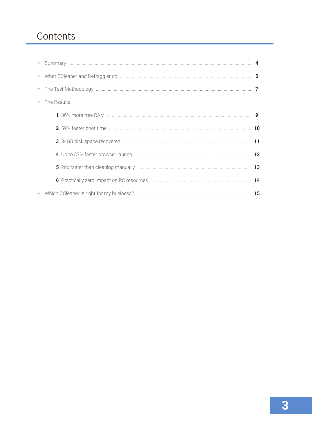## Contents

| • The Results |  |
|---------------|--|
|               |  |
|               |  |
|               |  |
|               |  |
|               |  |
|               |  |
|               |  |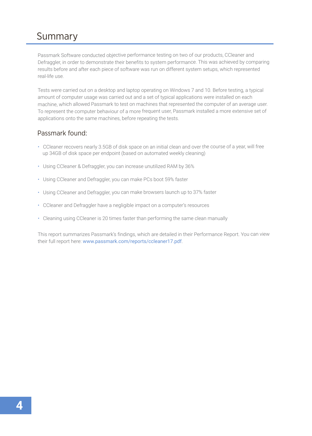## Summary

Passmark Software conducted objective performance testing on two of our products, CCleaner and Defraggler, in order to demonstrate their benefits to system performance. This was achieved by comparing results before and after each piece of software was run on different system setups, which represented real-life use.

Tests were carried out on a desktop and laptop operating on Windows 7 and 10. Before testing, a typical amount of computer usage was carried out and a set of typical applications were installed on each machine, which allowed Passmark to test on machines that represented the computer of an average user. To represent the computer behaviour of a more frequent user, Passmark installed a more extensive set of applications onto the same machines, before repeating the tests.

### Passmark found:

- CCleaner recovers nearly 3.5GB of disk space on an initial clean and over the course of a year, will free up 34GB of disk space per endpoint (based on automated weekly cleaning)
- Using CCleaner & Defraggler, you can increase unutilized RAM by 36%
- Using CCleaner and Defraggler, you can make PCs boot 59% faster
- Using CCleaner and Defraggler, you can make browsers launch up to 37% faster
- CCleaner and Defraggler have a negligible impact on a computer's resources
- Cleaning using CCleaner is 20 times faster than performing the same clean manually

This report summarizes Passmark's findings, which are detailed in their Performance Report. You can view their full report here: [www.passmark.com/reports/ccleaner17.pdf](https://www.passmark.com/reports/ccleaner17.pdf).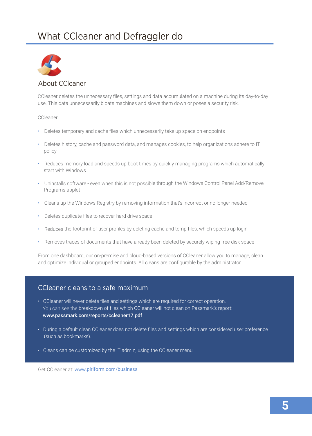## What CCleaner and Defraggler do



#### About CCleaner

CCleaner deletes the unnecessary files, settings and data accumulated on a machine during its day-to-day use. This data unnecessarily bloats machines and slows them down or poses a security risk.

#### CCleaner:

- Deletes temporary and cache files which unnecessarily take up space on endpoints
- Deletes history, cache and password data, and manages cookies, to help organizations adhere to IT policy
- Reduces memory load and speeds up boot times by quickly managing programs which automatically start with Windows
- Uninstalls software even when this is not possible through the Windows Control Panel Add/Remove Programs applet
- Cleans up the Windows Registry by removing information that's incorrect or no longer needed
- Deletes duplicate files to recover hard drive space
- Reduces the footprint of user profiles by deleting cache and temp files, which speeds up login
- Removes traces of documents that have already been deleted by securely wiping free disk space

From one dashboard, our on-premise and cloud-based versions of CCleaner allow you to manage, clean and optimize individual or grouped endpoints. All cleans are configurable by the administrator.

#### CCleaner cleans to a safe maximum

- CCleaner will never delete files and settings which are required for correct operation. You can see the breakdown of files which CCleaner will not clean on Passmark's report: www.passmark.com/reports/ccleaner17.pdf
- During a default clean CCleaner does not delete files and settings which are considered user preference (such as bookmarks).
- Cleans can be customized by the IT admin, using the CCleaner menu.

Get CCleaner at: [www.piriform.com/business](http://www.piriform.com/business)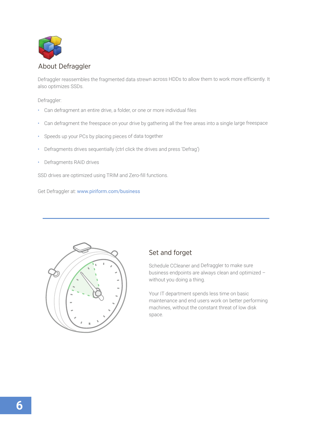

Defraggler reassembles the fragmented data strewn across HDDs to allow them to work more efficiently. It also optimizes SSDs.

Defraggler:

- Can defragment an entire drive, a folder, or one or more individual files
- Can defragment the freespace on your drive by gathering all the free areas into a single large freespace
- Speeds up your PCs by placing pieces of data together
- Defragments drives sequentially (ctrl click the drives and press 'Defrag')
- Defragments RAID drives

SSD drives are optimized using TRIM and Zero-fill functions.

Get Defraggler at: www.piriform.com/business



## Set and forget

Schedule CCleaner and Defraggler to make sure business endpoints are always clean and optimized – without you doing a thing.

Your IT department spends less time on basic maintenance and end users work on better performing machines, without the constant threat of low disk space.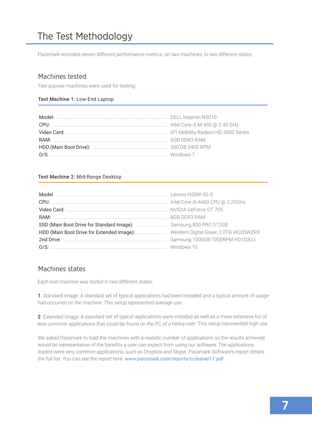## The Test Methodology

Passmark recorded eleven different performance metrics, on two machines, in two different states.

### Machines tested

Two popular machines were used for testing:

#### Test Machine 1: Low-End Laptop

#### Test Machine 2: Mid-Range Desktop

### Machines states

Each test machine was tested in two different states:

1. Standard Image: A standard set of typical applications had been installed and a typical amount of usage had occurred on the machine. This setup represented average use.

2. Extended Image: A standard set of typical applications were installed as well as a more extensive list of less common applications that could be found on the PC of a heavy user. This setup represented high use.

We asked Passmark to load the machines with a realistic number of applications so the results achieved would be representative of the benefits a user can expect from using our software. The applications loaded were very common applications, such as Dropbox and Skype. Passmark Software's report details the full list. You can see the report here: www.passmark.com/reports/ccleaner17.pdf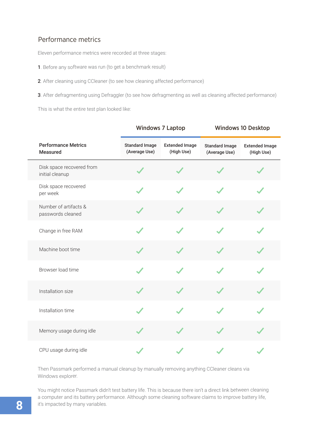## Performance metrics

Eleven performance metrics were recorded at three stages:

- <sup>1</sup>. Before any software was run (to get a benchmark result)
- <sup>2</sup>. After cleaning using CCleaner (to see how cleaning affected performance)
- 3. After defragmenting using Defraggler (to see how defragmenting as well as cleaning affected performance)

This is what the entire test plan looked like:

|  |                                               | <b>Windows 7 Laptop</b>                |                                     | <b>Windows 10 Desktop</b>              |                                     |
|--|-----------------------------------------------|----------------------------------------|-------------------------------------|----------------------------------------|-------------------------------------|
|  | <b>Performance Metrics</b><br><b>Measured</b> | <b>Standard Image</b><br>(Average Use) | <b>Extended Image</b><br>(High Use) | <b>Standard Image</b><br>(Average Use) | <b>Extended Image</b><br>(High Use) |
|  | Disk space recovered from<br>initial cleanup  |                                        |                                     |                                        |                                     |
|  | Disk space recovered<br>per week              |                                        |                                     |                                        |                                     |
|  | Number of artifacts &<br>passwords cleaned    |                                        |                                     |                                        |                                     |
|  | Change in free RAM                            |                                        |                                     |                                        |                                     |
|  | Machine boot time                             |                                        |                                     |                                        |                                     |
|  | Browser load time                             |                                        |                                     |                                        |                                     |
|  | Installation size                             |                                        |                                     |                                        |                                     |
|  | Installation time                             |                                        |                                     |                                        |                                     |
|  | Memory usage during idle                      |                                        |                                     |                                        |                                     |
|  | CPU usage during idle                         |                                        |                                     |                                        |                                     |

Then Passmark performed a manual cleanup by manually removing anything CCleaner cleans via Windows explorer.

You might notice Passmark didn't test battery life. This is because there isn't a direct link between cleaning a computer and its battery performance. Although some cleaning software claims to improve battery life, it's impacted by many variables.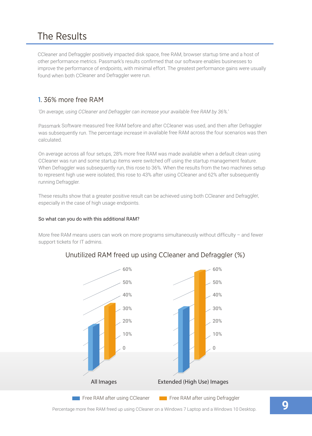## The Results

CCleaner and Defraggler positively impacted disk space, free RAM, browser startup time and a host of other performance metrics. Passmark's results confirmed that our software enables businesses to improve the performance of endpoints, with minimal effort. The greatest performance gains were usually found when both CCleaner and Defraggler were run.

## 1. 36% more free RAM

*'On average, using CCleaner and Defraggler can increase your available free RAM by 36%.'*

Passmark Software measured free RAM before and after CCleaner was used, and then after Defraggler was subsequently run. The percentage increase in available free RAM across the four scenarios was then calculated.

On average across all four setups, 28% more free RAM was made available when a default clean using CCleaner was run and some startup items were switched off using the startup management feature. When Defraggler was subsequently run, this rose to 36%. When the results from the two machines setup to represent high use were isolated, this rose to 43% after using CCleaner and 62% after subsequently running Defraggler.

These results show that a greater positive result can be achieved using both CCleaner and Defraggler, especially in the case of high usage endpoints.

#### So what can you do with this additional RAM?

More free RAM means users can work on more programs simultaneously without difficulty – and fewer support tickets for IT admins.





Percentage more free RAM freed up using CCleaner on a Windows 7 Laptop and a Windows 10 Desktop. **9**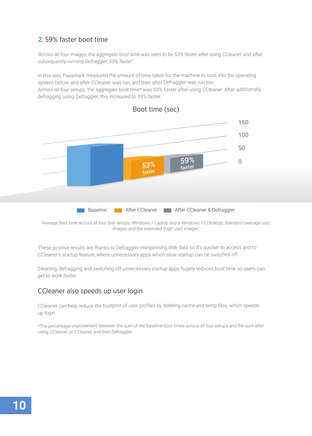## 2. 59% faster boot time

*'Across all four images, the aggregate boot time was seen to be 53% faster after using CCleaner and after subsequently running Defraggler, 59% faster.'*

In this test, Passmark measured the amount of time taken for the machine to boot into the operating system before and after CCleaner was run, and then after Defraggler was run too. Across all four setups, the aggregate boot time\* was 53% faster after using CCleaner. After additionally defragging using Defraggler, this increased to 59% faster.



Boot time (sec)

Average boot time across all four test setups: Windows 7 Laptop and a Windows 10 Desktop, standard (average use) images and the extended (high use) images.

These positive results are thanks to Defraggler reorganising disk data so it's quicker to access and to CCleaner's startup feature, where unnecessary apps which slow startup can be switched off.

Cleaning, defragging and switching off unnecessary startup apps hugely reduces boot time so users can get to work faster.

### CCleaner also speeds up user login

CCleaner can help reduce the footprint of user profiles by deleting cache and temp files, which speeds up login.

\*The percentage improvement between the sum of the baseline boot times across all four setups and the sum after using CCleaner, or CCleaner and then Defraggler.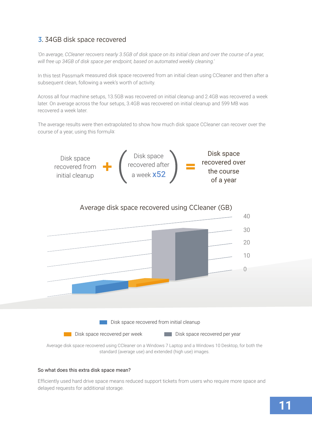## 3. 34GB disk space recovered

*'On average, CCleaner recovers nearly 3.5GB of disk space on its initial clean and over the course of a year, will free up 34GB of disk space per endpoint, based on automated weekly cleaning.'*

In this test Passmark measured disk space recovered from an initial clean using CCleaner and then after a subsequent clean, following a week's worth of activity.

Across all four machine setups, 13.5GB was recovered on initial cleanup and 2.4GB was recovered a week later. On average across the four setups, 3.4GB was recovered on initial cleanup and 599 MB was recovered a week later.

The average results were then extrapolated to show how much disk space CCleaner can recover over the course of a year, using this formula:





Average disk space recovered using CCleaner on a Windows 7 Laptop and a Windows 10 Desktop, for both the standard (average use) and extended (high use) images.

#### So what does this extra disk space mean?

Efficiently used hard drive space means reduced support tickets from users who require more space and delayed requests for additional storage.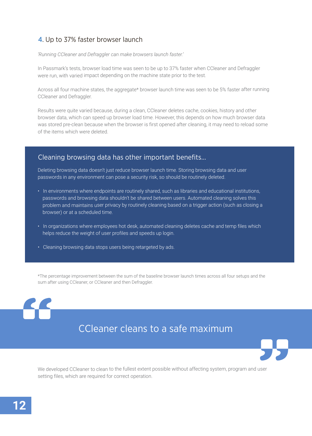## 4. Up to 37% faster browser launch

*'Running CCleaner and Defraggler can make browsers launch faster.'*

In Passmark's tests, browser load time was seen to be up to 37% faster when CCleaner and Defraggler were run, with varied impact depending on the machine state prior to the test.

Across all four machine states, the aggregate\* browser launch time was seen to be 5% faster after running CCleaner and Defraggler.

Results were quite varied because, during a clean, CCleaner deletes cache, cookies, history and other browser data, which can speed up browser load time. However, this depends on how much browser data was stored pre-clean because when the browser is first opened after cleaning, it may need to reload some of the items which were deleted.

### Cleaning browsing data has other important benefits…

Deleting browsing data doesn't just reduce browser launch time. Storing browsing data and user passwords in any environment can pose a security risk, so should be routinely deleted.

- In environments where endpoints are routinely shared, such as libraries and educational institutions, passwords and browsing data shouldn't be shared between users. Automated cleaning solves this problem and maintains user privacy by routinely cleaning based on a trigger action (such as closing a browser) or at a scheduled time.
- In organizations where employees hot desk, automated cleaning deletes cache and temp files which helps reduce the weight of user profiles and speeds up login.
- Cleaning browsing data stops users being retargeted by ads.

\*The percentage improvement between the sum of the baseline browser launch times across all four setups and the sum after using CCleaner, or CCleaner and then Defraggler.

## CCleaner cleans to a safe maximum



We developed CCleaner to clean to the fullest extent possible without affecting system, program and user setting files, which are required for correct operation.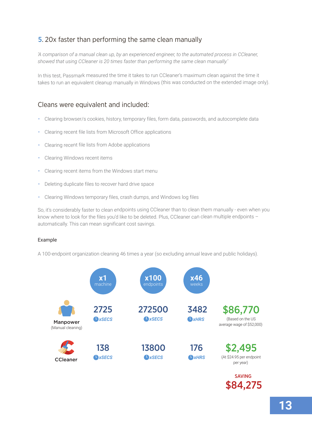## 5. 20x faster than performing the same clean manually

*'A comparison of a manual clean up, by an experienced engineer, to the automated process in CCleaner, showed that using CCleaner is 20 times faster than performing the same clean manually.'*

In this test, Passmark measured the time it takes to run CCleaner's maximum clean against the time it takes to run an equivalent cleanup manually in Windows (this was conducted on the extended image only).

## Cleans were equivalent and included:

- Clearing browser/s cookies, history, temporary files, form data, passwords, and autocomplete data
- Clearing recent file lists from Microsoft Office applications
- Clearing recent file lists from Adobe applications
- Clearing Windows recent items
- Clearing recent items from the Windows start menu
- Deleting duplicate files to recover hard drive space
- Clearing Windows temporary files, crash dumps, and Windows log files

So, it's considerably faster to clean endpoints using CCleaner than to clean them manually - even when you know where to look for the files you'd like to be deleted. Plus, CCleaner can clean multiple endpoints automatically. This can mean significant cost savings.

#### Example

A 100-endpoint organization cleaning 46 times a year (so excluding annual leave and public holidays).



\$84,275 SAVING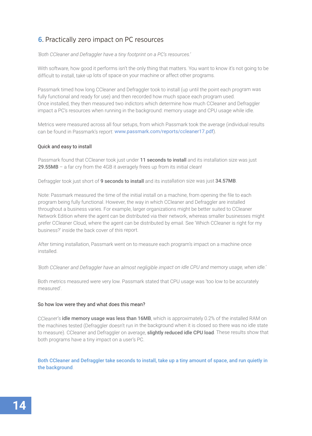## 6. Practically zero impact on PC resources

*'Both CCleaner and Defraggler have a tiny footprint on a PC's resources.'*

With software, how good it performs isn't the only thing that matters. You want to know it's not going to be difficult to install, take up lots of space on your machine or affect other programs.

Passmark timed how long CCleaner and Defraggler took to install (up until the point each program was fully functional and ready for use) and then recorded how much space each program used. Once installed, they then measured two indictors which determine how much CCleaner and Defraggler impact a PC's resources when running in the background: memory usage and CPU usage while idle.

Metrics were measured across all four setups, from which Passmark took the average (individual results can be found in Passmark's report: www.passmark.com/reports/ccleaner17.pdf).

## Quick and easy to install Quick and easy to install

 $\sim$  Passmark found that CCleaner took just under 11 seconds to install and its install and its install and its install and its install and its install and its install and its install and its install and its install and i 29.55MB – a far cry from the 4GB it averagely frees up from its initial clean! 29.55MB – a far cry from the 4GB it averagely frees up from its initial clean! Passmark found that CCleaner took just under 11 seconds to install and its installation size was just

Defraggler took just short of 9 seconds to install and its installation size was just 34.57MB. Defraggler took just short of 9 seconds to install and its installation size was just 34.57MB.

Note: Passmark measured the time of the initial install to a machine, from opening the file to each program being fully functional. However, the way in which CCleaner and Defraggler are installed program being fully functional. However, the way in which CCleaner and Defraggler are installed throughout a business varies. For example, larger organizations might be better suited to CCleaner throughout a business varies. For example, larger organizations might be better suited to CCleaner Network Edition where the agent can be distributed via their network, whereas smaller businesses might Network Edition where the agent can be distributed via their network, whereas smaller businesses might prefer CCleaner Cloud, where the agent can be distributed by email. See 'Which CCleaner is right for my prefer Coloumno Choud, where the agent can be distributed by email. See 'Which Coloumno's right for my<br>Empire on 2' incidently the local compact this record business?' inside the back cover of this report. business?' inside the back cover of this report. Note: Passmark measured the time of the initial install on a machine, from opening the file to each

After timing installation, Passmark went on to measure each program's impact on a machine once After timing installation, Passmark went on to measure each program's impact on a machine once installed.

*'Both CCleaner and Defraggler have an almost negligible impact on idle CPU and memory usage, when idle.'*

Both metrics measured were very low. Passmark stated that CPU usage was 'too low to be accurately measured'.

#### So how low were they and what does this mean?

CCleaner's idle memory usage was less than 16MB, which is approximately 0.2% of the installed RAM on the machines tested (Defraggler doesn't run in the background when it is closed so there was no idle state to measure). CCleaner and Defraggler on average, slightly reduced idle CPU load. These results show that both programs have a tiny impact on a user's PC.

Both CCleaner and Defraggler take seconds to install, take up a tiny amount of space, and run quietly in the background.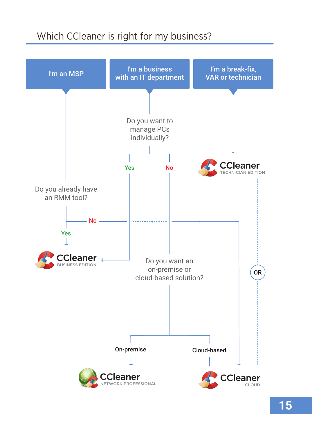## Which CCleaner is right for my business?